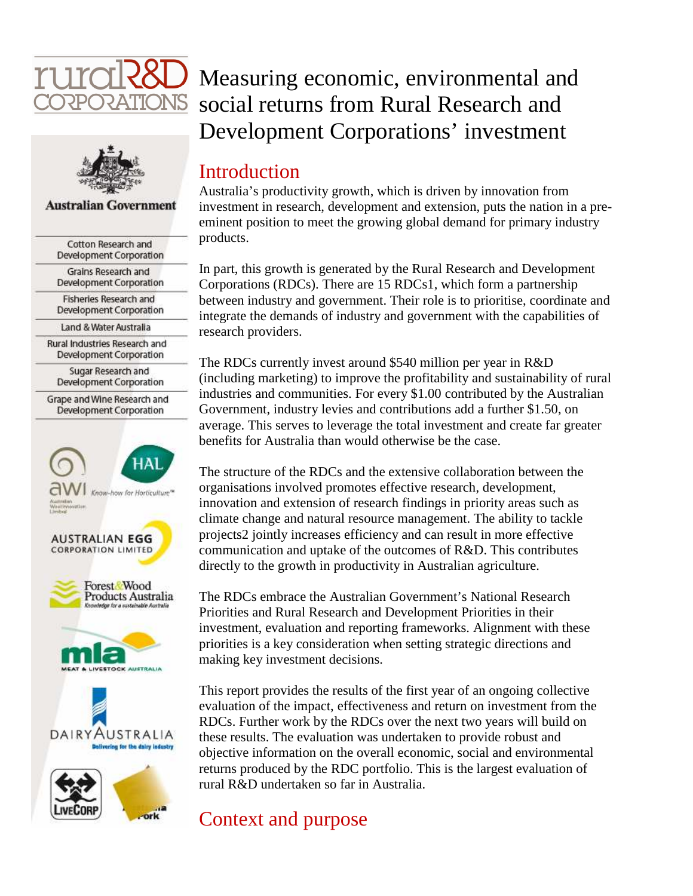



#### **Australian Government**

| Cotton Research and<br>Development Corporation           |
|----------------------------------------------------------|
| Grains Research and<br>Development Corporation           |
| <b>Fisheries Research and</b><br>Development Corporation |
| Land & Water Australia                                   |
| Rural Industries Research and<br>Development Corporation |
| Sugar Research and<br>Development Corporation            |
| Grape and Wine Research and<br>Development Corporation   |
|                                                          |
| <b>HAL</b>                                               |
| now-how for Horticulture <sup>ne</sup>                   |
| <b>AUSTRALIAN EGG</b>                                    |
| <b>CORPORATION LIMITED</b>                               |
| Forest Wood<br>Products Australia                        |
|                                                          |
| AUSTRALIA<br>AIRY<br>Delivering for the dairy industry   |
| <b>VECORP</b>                                            |

# Measuring economic, environmental and social returns from Rural Research and Development Corporations' investment

#### **Introduction**

Australia's productivity growth, which is driven by innovation from investment in research, development and extension, puts the nation in a preeminent position to meet the growing global demand for primary industry products.

In part, this growth is generated by the Rural Research and Development Corporations (RDCs). There are 15 RDCs1, which form a partnership between industry and government. Their role is to prioritise, coordinate and integrate the demands of industry and government with the capabilities of research providers.

The RDCs currently invest around \$540 million per year in R&D (including marketing) to improve the profitability and sustainability of rural industries and communities. For every \$1.00 contributed by the Australian Government, industry levies and contributions add a further \$1.50, on average. This serves to leverage the total investment and create far greater benefits for Australia than would otherwise be the case.

The structure of the RDCs and the extensive collaboration between the organisations involved promotes effective research, development, innovation and extension of research findings in priority areas such as climate change and natural resource management. The ability to tackle projects2 jointly increases efficiency and can result in more effective communication and uptake of the outcomes of R&D. This contributes directly to the growth in productivity in Australian agriculture.

The RDCs embrace the Australian Government's National Research Priorities and Rural Research and Development Priorities in their investment, evaluation and reporting frameworks. Alignment with these priorities is a key consideration when setting strategic directions and making key investment decisions.

This report provides the results of the first year of an ongoing collective evaluation of the impact, effectiveness and return on investment from the RDCs. Further work by the RDCs over the next two years will build on these results. The evaluation was undertaken to provide robust and objective information on the overall economic, social and environmental returns produced by the RDC portfolio. This is the largest evaluation of rural R&D undertaken so far in Australia.

#### Context and purpose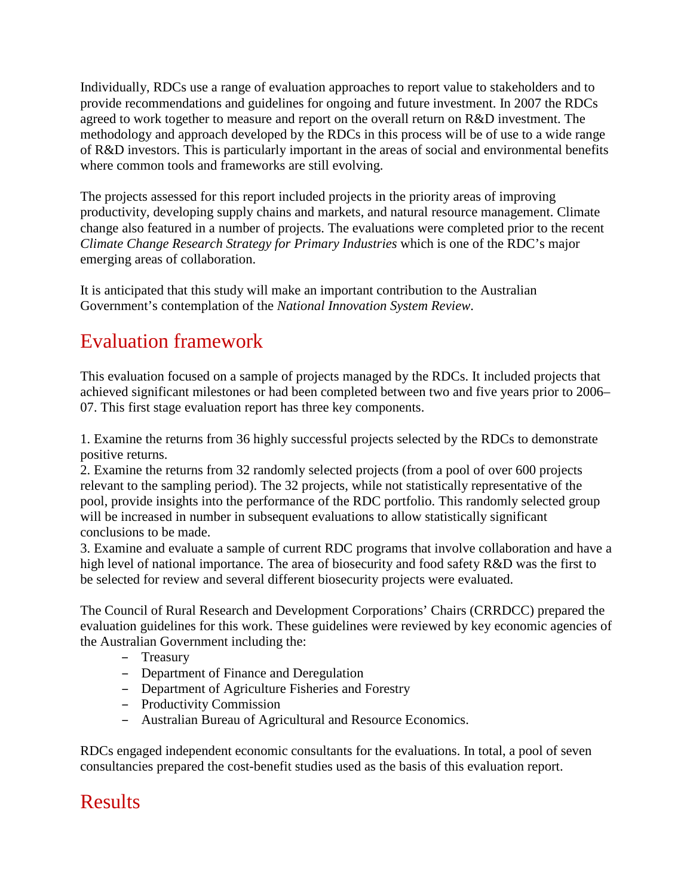Individually, RDCs use a range of evaluation approaches to report value to stakeholders and to provide recommendations and guidelines for ongoing and future investment. In 2007 the RDCs agreed to work together to measure and report on the overall return on R&D investment. The methodology and approach developed by the RDCs in this process will be of use to a wide range of R&D investors. This is particularly important in the areas of social and environmental benefits where common tools and frameworks are still evolving.

The projects assessed for this report included projects in the priority areas of improving productivity, developing supply chains and markets, and natural resource management. Climate change also featured in a number of projects. The evaluations were completed prior to the recent *Climate Change Research Strategy for Primary Industries* which is one of the RDC's major emerging areas of collaboration.

It is anticipated that this study will make an important contribution to the Australian Government's contemplation of the *National Innovation System Review*.

# Evaluation framework

This evaluation focused on a sample of projects managed by the RDCs. It included projects that achieved significant milestones or had been completed between two and five years prior to 2006– 07. This first stage evaluation report has three key components.

1. Examine the returns from 36 highly successful projects selected by the RDCs to demonstrate positive returns.

2. Examine the returns from 32 randomly selected projects (from a pool of over 600 projects relevant to the sampling period). The 32 projects, while not statistically representative of the pool, provide insights into the performance of the RDC portfolio. This randomly selected group will be increased in number in subsequent evaluations to allow statistically significant conclusions to be made.

3. Examine and evaluate a sample of current RDC programs that involve collaboration and have a high level of national importance. The area of biosecurity and food safety R&D was the first to be selected for review and several different biosecurity projects were evaluated.

The Council of Rural Research and Development Corporations' Chairs (CRRDCC) prepared the evaluation guidelines for this work. These guidelines were reviewed by key economic agencies of the Australian Government including the:

- Treasury
- Department of Finance and Deregulation
- Department of Agriculture Fisheries and Forestry
- Productivity Commission
- Australian Bureau of Agricultural and Resource Economics.

RDCs engaged independent economic consultants for the evaluations. In total, a pool of seven consultancies prepared the cost-benefit studies used as the basis of this evaluation report.

# **Results**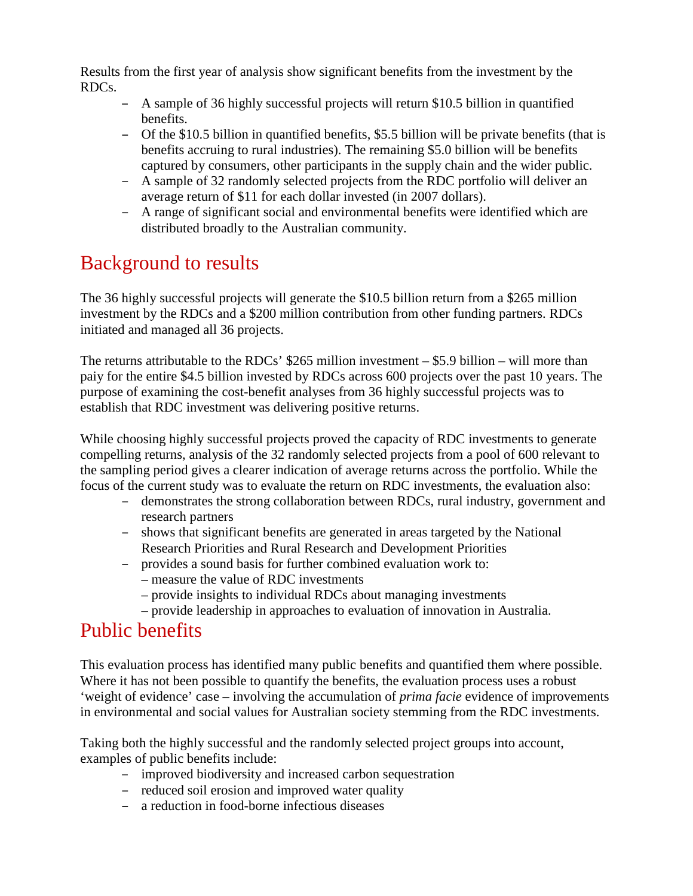Results from the first year of analysis show significant benefits from the investment by the RDCs.

- A sample of 36 highly successful projects will return \$10.5 billion in quantified benefits.
- Of the \$10.5 billion in quantified benefits, \$5.5 billion will be private benefits (that is benefits accruing to rural industries). The remaining \$5.0 billion will be benefits captured by consumers, other participants in the supply chain and the wider public.
- A sample of 32 randomly selected projects from the RDC portfolio will deliver an average return of \$11 for each dollar invested (in 2007 dollars).
- A range of significant social and environmental benefits were identified which are distributed broadly to the Australian community.

# Background to results

The 36 highly successful projects will generate the \$10.5 billion return from a \$265 million investment by the RDCs and a \$200 million contribution from other funding partners. RDCs initiated and managed all 36 projects.

The returns attributable to the RDCs' \$265 million investment – \$5.9 billion – will more than paiy for the entire \$4.5 billion invested by RDCs across 600 projects over the past 10 years. The purpose of examining the cost-benefit analyses from 36 highly successful projects was to establish that RDC investment was delivering positive returns.

While choosing highly successful projects proved the capacity of RDC investments to generate compelling returns, analysis of the 32 randomly selected projects from a pool of 600 relevant to the sampling period gives a clearer indication of average returns across the portfolio. While the focus of the current study was to evaluate the return on RDC investments, the evaluation also:

- demonstrates the strong collaboration between RDCs, rural industry, government and research partners
- shows that significant benefits are generated in areas targeted by the National Research Priorities and Rural Research and Development Priorities
- provides a sound basis for further combined evaluation work to:
	- measure the value of RDC investments
	- provide insights to individual RDCs about managing investments
	- provide leadership in approaches to evaluation of innovation in Australia.

### Public benefits

This evaluation process has identified many public benefits and quantified them where possible. Where it has not been possible to quantify the benefits, the evaluation process uses a robust 'weight of evidence' case – involving the accumulation of *prima facie* evidence of improvements in environmental and social values for Australian society stemming from the RDC investments.

Taking both the highly successful and the randomly selected project groups into account, examples of public benefits include:

- improved biodiversity and increased carbon sequestration
- reduced soil erosion and improved water quality
- a reduction in food-borne infectious diseases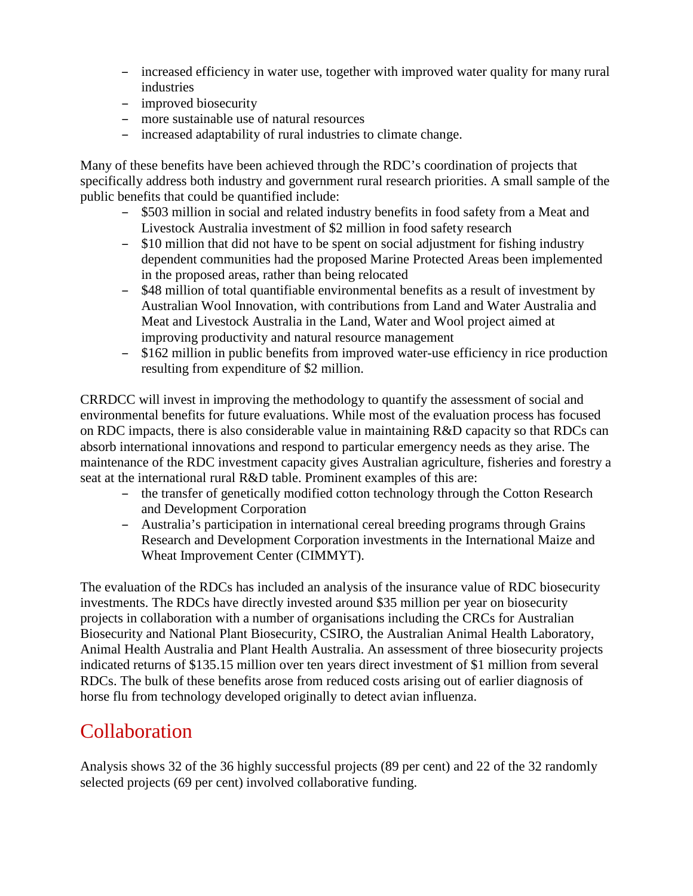- increased efficiency in water use, together with improved water quality for many rural industries
- improved biosecurity
- more sustainable use of natural resources
- increased adaptability of rural industries to climate change.

Many of these benefits have been achieved through the RDC's coordination of projects that specifically address both industry and government rural research priorities. A small sample of the public benefits that could be quantified include:

- \$503 million in social and related industry benefits in food safety from a Meat and Livestock Australia investment of \$2 million in food safety research
- \$10 million that did not have to be spent on social adjustment for fishing industry dependent communities had the proposed Marine Protected Areas been implemented in the proposed areas, rather than being relocated
- \$48 million of total quantifiable environmental benefits as a result of investment by Australian Wool Innovation, with contributions from Land and Water Australia and Meat and Livestock Australia in the Land, Water and Wool project aimed at improving productivity and natural resource management
- \$162 million in public benefits from improved water-use efficiency in rice production resulting from expenditure of \$2 million.

CRRDCC will invest in improving the methodology to quantify the assessment of social and environmental benefits for future evaluations. While most of the evaluation process has focused on RDC impacts, there is also considerable value in maintaining R&D capacity so that RDCs can absorb international innovations and respond to particular emergency needs as they arise. The maintenance of the RDC investment capacity gives Australian agriculture, fisheries and forestry a seat at the international rural R&D table. Prominent examples of this are:

- the transfer of genetically modified cotton technology through the Cotton Research and Development Corporation
- Australia's participation in international cereal breeding programs through Grains Research and Development Corporation investments in the International Maize and Wheat Improvement Center (CIMMYT).

The evaluation of the RDCs has included an analysis of the insurance value of RDC biosecurity investments. The RDCs have directly invested around \$35 million per year on biosecurity projects in collaboration with a number of organisations including the CRCs for Australian Biosecurity and National Plant Biosecurity, CSIRO, the Australian Animal Health Laboratory, Animal Health Australia and Plant Health Australia. An assessment of three biosecurity projects indicated returns of \$135.15 million over ten years direct investment of \$1 million from several RDCs. The bulk of these benefits arose from reduced costs arising out of earlier diagnosis of horse flu from technology developed originally to detect avian influenza.

### Collaboration

Analysis shows 32 of the 36 highly successful projects (89 per cent) and 22 of the 32 randomly selected projects (69 per cent) involved collaborative funding.